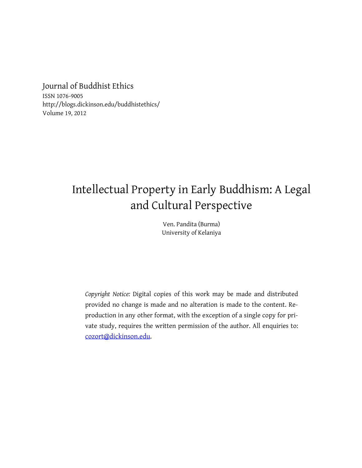Journal of Buddhist Ethics ISSN 1076-9005 http://blogs.dickinson.edu/buddhistethics/ Volume 19, 2012

# Intellectual Property in Early Buddhism: A Legal and Cultural Perspective

Ven. Pandita (Burma) University of Kelaniya

*Copyright Notice:* Digital copies of this work may be made and distributed provided no change is made and no alteration is made to the content. Reproduction in any other format, with the exception of a single copy for private study, requires the written permission of the author. All enquiries to: [cozort@dickinson.edu](mailto:cozort@dickinson.edu).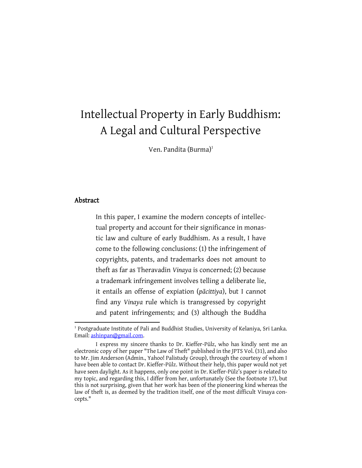# Intellectual Property in Early Buddhism: A Legal and Cultural Perspective

Ven. Pandita (Burma)<sup>1</sup>

# Abstract

 $\overline{a}$ 

In this paper, I examine the modern concepts of intellectual property and account for their significance in monastic law and culture of early Buddhism. As a result, I have come to the following conclusions: (1) the infringement of copyrights, patents, and trademarks does not amount to theft as far as Theravadin *Vinaya* is concerned; (2) because a trademark infringement involves telling a deliberate lie, it entails an offense of expiation (*pācittiya*), but I cannot find any *Vinaya* rule which is transgressed by copyright and patent infringements; and (3) although the Buddha

<sup>&</sup>lt;sup>1</sup> Postgraduate Institute of Pali and Buddhist Studies, University of Kelaniya, Sri Lanka. Email[: ashinpan@gmail.com.](mailto:ashinpan@gmail.com)

I express my sincere thanks to Dr. Kieffer-Pülz, who has kindly sent me an electronic copy of her paper "The Law of Theft" published in the JPTS Vol. (31), and also to Mr. Jim Anderson (Admin., Yahoo! Palistudy Group), through the courtesy of whom I have been able to contact Dr. Kieffer-Pülz. Without their help, this paper would not yet have seen daylight. As it happens, only one point in Dr. Kieffer-Pülz's paper is related to my topic, and regarding this, I differ from her, unfortunately (See the footnote 17), but this is not surprising, given that her work has been of the pioneering kind whereas the law of theft is, as deemed by the tradition itself, one of the most difficult Vinaya concepts."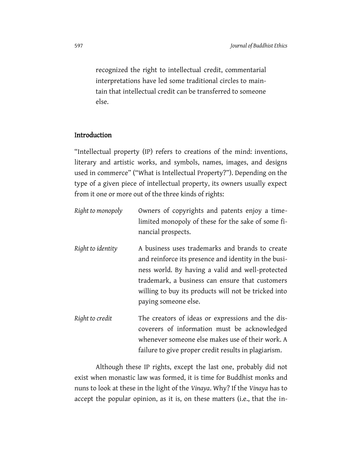recognized the right to intellectual credit, commentarial interpretations have led some traditional circles to maintain that intellectual credit can be transferred to someone else.

### Introduction

"Intellectual property (IP) refers to creations of the mind: inventions, literary and artistic works, and symbols, names, images, and designs used in commerce" ("What is Intellectual Property?"). Depending on the type of a given piece of intellectual property, its owners usually expect from it one or more out of the three kinds of rights:

- *Right to monopoly* Owners of copyrights and patents enjoy a timelimited monopoly of these for the sake of some financial prospects. *Right to identity* A business uses trademarks and brands to create
- and reinforce its presence and identity in the business world. By having a valid and well-protected trademark, a business can ensure that customers willing to buy its products will not be tricked into paying someone else.
- *Right to credit* The creators of ideas or expressions and the discoverers of information must be acknowledged whenever someone else makes use of their work. A failure to give proper credit results in plagiarism.

Although these IP rights, except the last one, probably did not exist when monastic law was formed, it is time for Buddhist monks and nuns to look at these in the light of the *Vinaya*. Why? If the *Vinaya* has to accept the popular opinion, as it is, on these matters (i.e., that the in-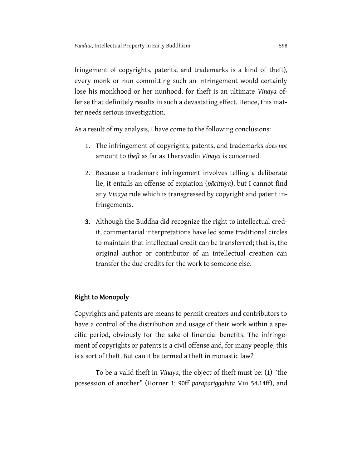fringement of copyrights, patents, and trademarks is a kind of theft), every monk or nun committing such an infringement would certainly lose his monkhood or her nunhood, for theft is an ultimate *Vinaya* offense that definitely results in such a devastating effect. Hence, this matter needs serious investigation.

As a result of my analysis, I have come to the following conclusions:

- 1. The infringement of copyrights, patents, and trademarks *does not* amount to *theft* as far as Theravadin *Vinaya* is concerned.
- 2. Because a trademark infringement involves telling a deliberate lie, it entails an offense of expiation (*pācittiya*), but I cannot find any *Vinaya* rule which is transgressed by copyright and patent infringements.
- 3. Although the Buddha did recognize the right to intellectual credit, commentarial interpretations have led some traditional circles to maintain that intellectual credit can be transferred; that is, the original author or contributor of an intellectual creation can transfer the due credits for the work to someone else.

# Right to Monopoly

Copyrights and patents are means to permit creators and contributors to have a control of the distribution and usage of their work within a specific period, obviously for the sake of financial benefits. The infringement of copyrights or patents is a civil offense and, for many people, this is a sort of theft. But can it be termed a theft in monastic law?

To be a valid theft in *Vinaya*, the object of theft must be: (1) "the possession of another" (Horner 1: 90ff *parapariggahita* Vin 54.14ff), and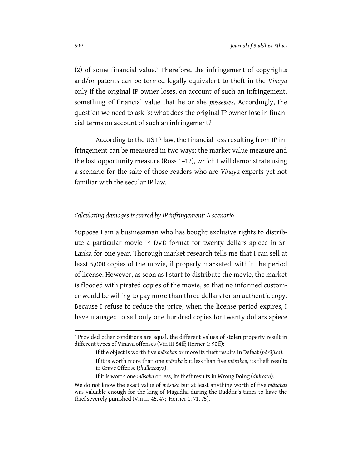<span id="page-4-0"></span> $(2)$  of some financial value.<sup>2</sup> Therefore, the infringement of copyrights and/or patents can be termed legally equivalent to theft in the *Vinaya* only if the original IP owner loses, on account of such an infringement, something of financial value that he or she *possesses*. Accordingly, the question we need to ask is: what does the original IP owner lose in financial terms on account of such an infringement?

According to the US IP law, the financial loss resulting from IP infringement can be measured in two ways: the market value measure and the lost opportunity measure (Ross 1–12), which I will demonstrate using a scenario for the sake of those readers who are *Vinaya* experts yet not familiar with the secular IP law.

#### *Calculating damages incurred by IP infringement: A scenario*

Suppose I am a businessman who has bought exclusive rights to distribute a particular movie in DVD format for twenty dollars apiece in Sri Lanka for one year. Thorough market research tells me that I can sell at least 5,000 copies of the movie, if properly marketed, within the period of license. However, as soon as I start to distribute the movie, the market is flooded with pirated copies of the movie, so that no informed customer would be willing to pay more than three dollars for an authentic copy. Because I refuse to reduce the price, when the license period expires, I have managed to sell only one hundred copies for twenty dollars apiece

 $\overline{a}$ 

 $2^2$  Provided other conditions are equal, the different values of stolen property result in different types of Vinaya offenses (Vin III 54ff; Horner 1: 90ff):

If the object is worth five *māsaka*s or more its theft results in Defeat (*pārājika*).

If it is worth more than one *māsaka* but less than five *māsaka*s, its theft results in Grave Offense (*thullaccaya*).

If it is worth one *māsaka* or less, its theft results in Wrong Doing (*dukkaṭa*).

We do not know the exact value of *māsaka* but at least anything worth of five *māsaka*s was valuable enough for the king of Māgadha during the Buddha's times to have the thief severely punished (Vin III 45, 47; Horner 1: 71, 75).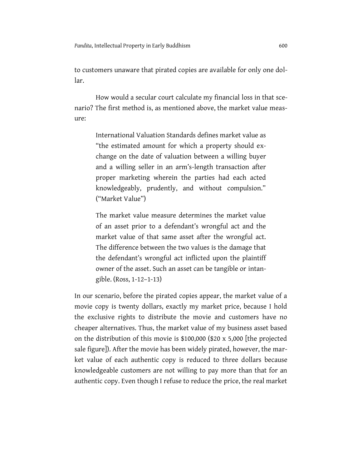to customers unaware that pirated copies are available for only one dollar.

How would a secular court calculate my financial loss in that scenario? The first method is, as mentioned above, the market value measure:

> International Valuation Standards defines market value as "the estimated amount for which a property should exchange on the date of valuation between a willing buyer and a willing seller in an arm's-length transaction after proper marketing wherein the parties had each acted knowledgeably, prudently, and without compulsion." ("Market Value")

> The market value measure determines the market value of an asset prior to a defendant's wrongful act and the market value of that same asset after the wrongful act. The difference between the two values is the damage that the defendant's wrongful act inflicted upon the plaintiff owner of the asset. Such an asset can be tangible or intangible. (Ross, 1-12–1-13)

In our scenario, before the pirated copies appear, the market value of a movie copy is twenty dollars, exactly my market price, because I hold the exclusive rights to distribute the movie and customers have no cheaper alternatives. Thus, the market value of my business asset based on the distribution of this movie is \$100,000 (\$20 x 5,000 [the projected sale figure]). After the movie has been widely pirated, however, the market value of each authentic copy is reduced to three dollars because knowledgeable customers are not willing to pay more than that for an authentic copy. Even though I refuse to reduce the price, the real market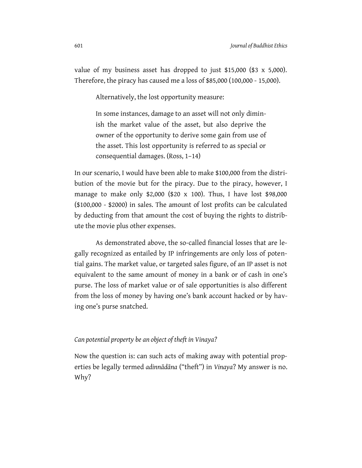value of my business asset has dropped to just \$15,000 (\$3 x 5,000). Therefore, the piracy has caused me a loss of \$85,000 (100,000 - 15,000).

Alternatively, the lost opportunity measure:

In some instances, damage to an asset will not only diminish the market value of the asset, but also deprive the owner of the opportunity to derive some gain from use of the asset. This lost opportunity is referred to as special or consequential damages. (Ross, 1–14)

In our scenario, I would have been able to make \$100,000 from the distribution of the movie but for the piracy. Due to the piracy, however, I manage to make only \$2,000 (\$20 x 100). Thus, I have lost \$98,000 (\$100,000 - \$2000) in sales. The amount of lost profits can be calculated by deducting from that amount the cost of buying the rights to distribute the movie plus other expenses.

As demonstrated above, the so-called financial losses that are legally recognized as entailed by IP infringements are only loss of potential gains. The market value, or targeted sales figure, of an IP asset is not equivalent to the same amount of money in a bank or of cash in one's purse. The loss of market value or of sale opportunities is also different from the loss of money by having one's bank account hacked or by having one's purse snatched.

### *Can potential property be an object of theft in Vinaya?*

Now the question is: can such acts of making away with potential properties be legally termed *adinnādāna* ("theft") in *Vinaya*? My answer is no. Why?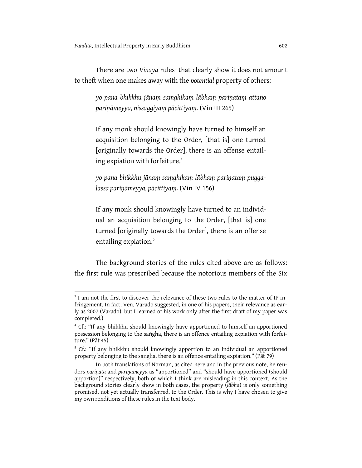$\overline{\phantom{a}}$ 

There are two *Vinaya* rules<sup>3</sup> that clearly show it does not amount to theft when one makes away with the *potential* property of others:

*yo pana bhikkhu jānaṃ saṃghikaṃ lābhaṃ pariṇataṃ attano pariṇāmeyya, nissaggiyaṃ pācittiyaṃ.* (Vin III 265)

If any monk should knowingly have turned to himself an acquisition belonging to the Order, [that is] one turned [originally towards the Order], there is an offense entailing expiation with forfeiture.<sup>4</sup>

*yo pana bhikkhu jānaṃ saṃghikaṃ lābhaṃ pariṇataṃ puggalassa pariṇāmeyya, pācittiyaṃ.* (Vin IV 156)

If any monk should knowingly have turned to an individual an acquisition belonging to the Order, [that is] one turned [originally towards the Order], there is an offense entailing expiation.<sup>5</sup>

The background stories of the rules cited above are as follows: the first rule was prescribed because the notorious members of the Six

<sup>&</sup>lt;sup>3</sup> I am not the first to discover the relevance of these two rules to the matter of IP infringement. In fact, Ven. Varado suggested, in one of his papers, their relevance as early as 2007 (Varado), but I learned of his work only after the first draft of my paper was completed.)

<sup>&</sup>lt;sup>4</sup> Cf.: "If any bhikkhu should knowingly have apportioned to himself an apportioned possession belonging to the saṅgha, there is an offence entailing expiation with forfeiture." (Pāt 45)

<sup>&</sup>lt;sup>5</sup> Cf.: "If any bhikkhu should knowingly apportion to an individual an apportioned property belonging to the sangha, there is an offence entailing expiation." (Pāt 79)

In both translations of Norman, as cited here and in the previous note, he renders *pariṇata* and *pariṇāmeyya* as "apportioned" and "should have apportioned (should apportion)" respectively, both of which I think are misleading in this context. As the background stories clearly show in both cases, the property (*lābha*) is only something promised, not yet actually transferred, to the Order. This is why I have chosen to give my own renditions of these rules in the text body.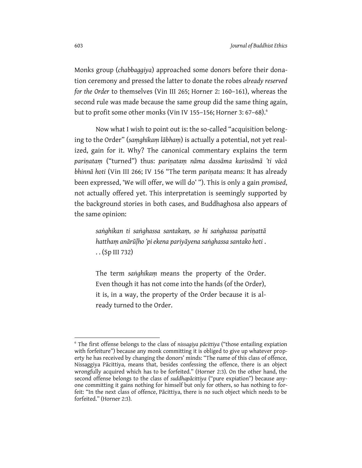Monks group (*chabbaggiya*) approached some donors before their donation ceremony and pressed the latter to donate the robes *already reserved for the Order* to themselves (Vin III 265; Horner 2: 160–161), whereas the second rule was made because the same group did the same thing again, but to profit some other monks (Vin IV 155-156; Horner 3: 67-68).<sup>6</sup>

Now what I wish to point out is: the so-called "acquisition belonging to the Order" (*saṃghikaṃ lābhaṃ*) is actually a potential, not yet realized, gain for it. Why? The canonical commentary explains the term *pariṇataṃ* ("turned") thus: *pariṇataṃ nāma dassāma karissāmā 'ti vācā bhinnā hoti* (Vin III 266; IV 156 "The term *pariṇata* means: It has already been expressed, 'We will offer, we will do' "). This is only a gain *promised*, not actually offered yet. This interpretation is seemingly supported by the background stories in both cases, and Buddhaghosa also appears of the same opinion:

> *saṅghikan ti saṅghassa santakaṃ, so hi saṅghassa pariṇattā hatthaṃ anārūḷho 'pi ekena pariyāyena saṅghassa santako hoti* . . . (Sp III 732)

> The term *saṅghikaṃ* means the property of the Order. Even though it has not come into the hands (of the Order), it is, in a way, the property of the Order because it is already turned to the Order.

 $\overline{a}$ 

<sup>6</sup> The first offense belongs to the class of *nissagiya pācittiya* ("those entailing expiation with forfeiture") because any monk committing it is obliged to give up whatever property he has received by changing the donors' minds: "The name of this class of offence, Nissaggiya Pācittiya, means that, besides confessing the offence, there is an object wrongfully acquired which has to be forfeited." (Horner 2:3). On the other hand, the second offense belongs to the class of *suddhapācittiya* ("pure expiation") because anyone committing it gains nothing for himself but only for others, so has nothing to forfeit: "In the next class of offence, Pācittiya, there is no such object which needs to be forfeited." (Horner 2:3).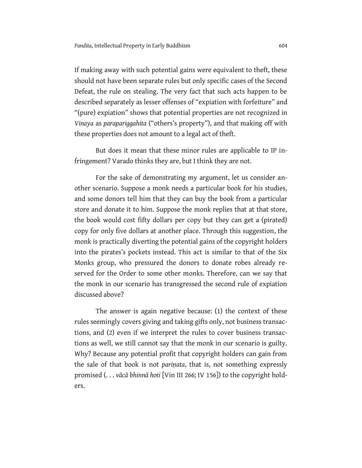If making away with such potential gains were equivalent to theft, these should not have been separate rules but only specific cases of the Second Defeat, the rule on stealing. The very fact that such acts happen to be described separately as lesser offenses of "expiation with forfeiture" and "(pure) expiation" shows that potential properties are not recognized in *Vinaya* as *parapariggahita* ("others's property"), and that making off with these properties does not amount to a legal act of theft.

But does it mean that these minor rules are applicable to IP infringement? Varado thinks they are, but I think they are not.

For the sake of demonstrating my argument, let us consider another scenario. Suppose a monk needs a particular book for his studies, and some donors tell him that they can buy the book from a particular store and donate it to him. Suppose the monk replies that at that store, the book would cost fifty dollars per copy but they can get a (pirated) copy for only five dollars at another place. Through this suggestion, the monk is practically diverting the potential gains of the copyright holders into the pirates's pockets instead. This act is similar to that of the Six Monks group, who pressured the donors to donate robes already reserved for the Order to some other monks. Therefore, can we say that the monk in our scenario has transgressed the second rule of expiation discussed above?

The answer is again negative because: (1) the context of these rules seemingly covers giving and taking gifts only, not business transactions, and (2) even if we interpret the rules to cover business transactions as well, we still cannot say that the monk in our scenario is guilty. Why? Because any potential profit that copyright holders can gain from the sale of that book is not *pariṇata*, that is, not something expressly promised (. . . *vācā bhinnā hoti* [Vin III 266; IV 156]) to the copyright holders.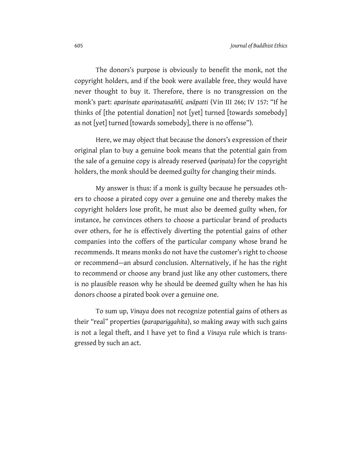The donors's purpose is obviously to benefit the monk, not the copyright holders, and if the book were available free, they would have never thought to buy it. Therefore, there is no transgression on the monk's part: *apariṇate apariṇatasaññī, anāpatti* (Vin III 266; IV 157: "If he thinks of [the potential donation] not [yet] turned [towards somebody] as not [yet] turned [towards somebody], there is no offense").

Here, we may object that because the donors's expression of their original plan to buy a genuine book means that the potential gain from the sale of a genuine copy is already reserved (*pariṇata*) for the copyright holders, the monk should be deemed guilty for changing their minds.

My answer is thus: if a monk is guilty because he persuades others to choose a pirated copy over a genuine one and thereby makes the copyright holders lose profit, he must also be deemed guilty when, for instance, he convinces others to choose a particular brand of products over others, for he is effectively diverting the potential gains of other companies into the coffers of the particular company whose brand he recommends. It means monks do not have the customer's right to choose or recommend—an absurd conclusion. Alternatively, if he has the right to recommend or choose any brand just like any other customers, there is no plausible reason why he should be deemed guilty when he has his donors choose a pirated book over a genuine one.

To sum up, *Vinaya* does not recognize potential gains of others as their "real" properties (*parapariggahita*), so making away with such gains is not a legal theft, and I have yet to find a *Vinaya* rule which is transgressed by such an act.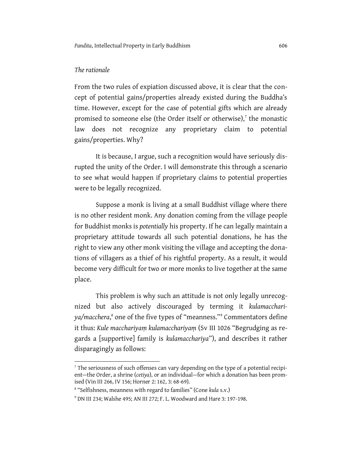# *The rationale*

 $\overline{\phantom{a}}$ 

From the two rules of expiation discussed above, it is clear that the concept of potential gains/properties already existed during the Buddha's time. However, except for the case of potential gifts which are already promised to someone else (the Order itself or otherwise), $\bar{ }$  the monastic law does not recognize any proprietary claim to potential gains/properties. Why?

It is because, I argue, such a recognition would have seriously disrupted the unity of the Order. I will demonstrate this through a scenario to see what would happen if proprietary claims to potential properties were to be legally recognized.

Suppose a monk is living at a small Buddhist village where there is no other resident monk. Any donation coming from the village people for Buddhist monks is *potentially* his property. If he can legally maintain a proprietary attitude towards all such potential donations, he has the right to view any other monk visiting the village and accepting the donations of villagers as a thief of his rightful property. As a result, it would become very difficult for two or more monks to live together at the same place.

This problem is why such an attitude is not only legally unrecognized but also actively discouraged by terming it *kulamacchariya/macchera*, 8 one of the five types of "meanness."<sup>9</sup> Commentators define it thus: *Kule macchariyaṃ kulamacchariyaṃ* (Sv III 1026 "Begrudging as regards a [supportive] family is *kulamacchariya*"), and describes it rather disparagingly as follows:

 $<sup>7</sup>$  The seriousness of such offenses can vary depending on the type of a potential recipi-</sup> ent—the Order, a shrine (*cetiya*), or an individual—for which a donation has been promised (Vin III 266, IV 156; Horner 2: 162, 3: 68-69).

<sup>8</sup> "Selfishness, meanness with regard to families" (Cone *kula* s.v.)

<sup>9</sup> DN III 234; Walshe 495; AN III 272; F. L. Woodward and Hare 3: 197-198.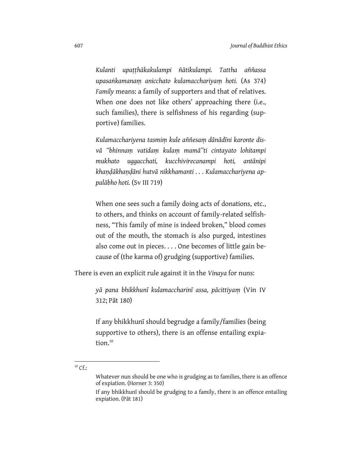*Kulanti upaṭṭhākakulampi ñātikulampi. Tattha aññassa upasaṅkamanaṃ anicchato kulamacchariyaṃ hoti.* (As 374) *Family* means: a family of supporters and that of relatives. When one does not like others' approaching there (i.e., such families), there is selfishness of his regarding (supportive) families.

*Kulamacchariyena tasmiṃ kule aññesaṃ dānādīni karonte disvā ''bhinnaṃ vatidaṃ kulaṃ mamā''ti cintayato lohitampi mukhato uggacchati, kucchivirecanampi hoti, antānipi khaṇḍākhaṇḍāni hutvā nikkhamanti . . . Kulamacchariyena appalābho hoti.* (Sv III 719)

When one sees such a family doing acts of donations, etc., to others, and thinks on account of family-related selfishness, "This family of mine is indeed broken," blood comes out of the mouth, the stomach is also purged, intestines also come out in pieces. . . . One becomes of little gain because of (the karma of) grudging (supportive) families.

There is even an explicit rule against it in the *Vinaya* for nuns:

*yā pana bhikkhunī kulamaccharinī assa, pācittiyaṃ* (Vin IV 312; Pāt 180)

If any bhikkhunī should begrudge a family/families (being supportive to others), there is an offense entailing expiation.<sup>10</sup>

 $\overline{\phantom{a}}$ 

 $10$  Cf.:

Whatever nun should be one who is grudging as to families, there is an offence of expiation. (Horner 3: 350)

If any bhikkhunī should be grudging to a family, there is an offence entailing expiation. (Pāt 181)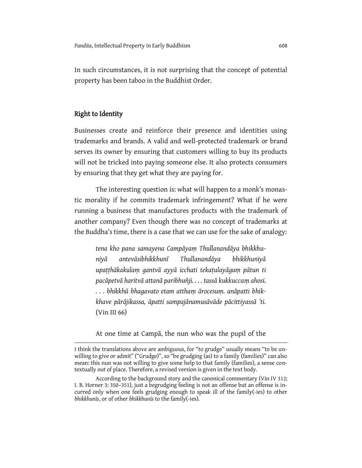In such circumstances, it is not surprising that the concept of potential property has been taboo in the Buddhist Order.

# Right to Identity

 $\overline{a}$ 

Businesses create and reinforce their presence and identities using trademarks and brands. A valid and well-protected trademark or brand serves its owner by ensuring that customers willing to buy its products will not be tricked into paying someone else. It also protects consumers by ensuring that they get what they are paying for.

The interesting question is: what will happen to a monk's monastic morality if he commits trademark infringement? What if he were running a business that manufactures products with the trademark of another company? Even though there was no concept of trademarks at the Buddha's time, there is a case that we can use for the sake of analogy:

*tena kho pana samayena Campāyaṃ Thullanandāya bhikkhuniyā antevāsibhikkhunī Thullanandāya bhikkhuniyā upaṭṭhākakulaṃ gantvā ayyā icchati tekaṭulayāguṃ pātun ti pacāpetvā haritvā attanā paribhuñji. . . . tassā kukkuccaṃ ahosi. . . . bhikkhū bhagavato etam atthaṃ ārocesuṃ. anāpatti bhikkhave pārājikassa, āpatti sampajānamusāvāde pācittiyassā 'ti.* (Vin III 66)

At one time at Campā, the nun who was the pupil of the

I think the translations above are ambiguous, for "to grudge" usually means "to be unwilling to give or admit" ("Grudge)", so "be grudging (as) to a family (families)" can also mean: this nun was not willing to give some help to that family (families), a sense contextually out of place. Therefore, a revised version is given in the text body.

According to the background story and the canonical commentary (Vin IV 312; I. B. Horner 3: 350–351), just a begrudging feeling is not an offense but an offense is incurred only when one feels grudging enough to speak ill of the family(-ies) to other *bhikkhunīs*, or of other *bhikkhunīs* to the family(-ies).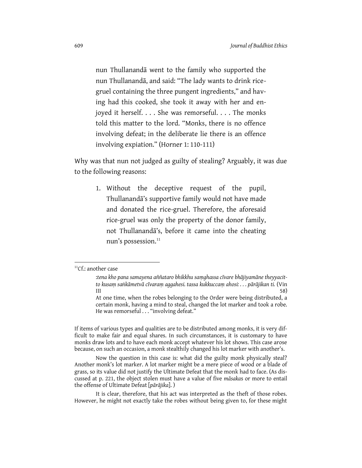nun Thullanandā went to the family who supported the nun Thullanandā, and said: "The lady wants to drink ricegruel containing the three pungent ingredients," and having had this cooked, she took it away with her and enjoyed it herself. . . . She was remorseful. . . . The monks told this matter to the lord. "Monks, there is no offence involving defeat; in the deliberate lie there is an offence involving expiation." (Horner 1: 110-111)

Why was that nun not judged as guilty of stealing? Arguably, it was due to the following reasons:

1. Without the deceptive request of the pupil, Thullanandā's supportive family would not have made and donated the rice-gruel. Therefore, the aforesaid rice-gruel was only the property of the donor family, not Thullanandā's, before it came into the cheating nun's possession.<sup>11</sup>

 $\overline{a}$ 

If items of various types and qualities are to be distributed among monks, it is very difficult to make fair and equal shares. In such circumstances, it is customary to have monks draw lots and to have each monk accept whatever his lot shows. This case arose because, on such an occasion, a monk stealthily changed his lot marker with another's.

Now the question in this case is: what did the guilty monk physically steal? Another monk's lot marker. A lot marker might be a mere piece of wood or a blade of grass, so its value did not justify the Ultimate Defeat that the monk had to face. (As discussed at p. [221,](#page-4-0) the object stolen must have a value of five *māsaka*s or more to entail the offense of Ultimate Defeat [*pārājika*]. )

It is clear, therefore, that his act was interpreted as the theft of those robes. However, he might not exactly take the robes without being given to, for these might

<sup>&</sup>lt;sup>11</sup>Cf.: another case

<sup>:</sup>*tena kho pana samayena aññataro bhikkhu saṃghassa cīvare bhājiyamāne theyyacitto kusaṃ saṅkāmetvā cīvaraṃ aggahesi. tassa kukkuccaṃ ahosi: . . . pārājikan ti.* (Vin III  $58)$ 

At one time, when the robes belonging to the Order were being distributed, a certain monk, having a mind to steal, changed the lot marker and took a robe. He was remorseful . . . "involving defeat."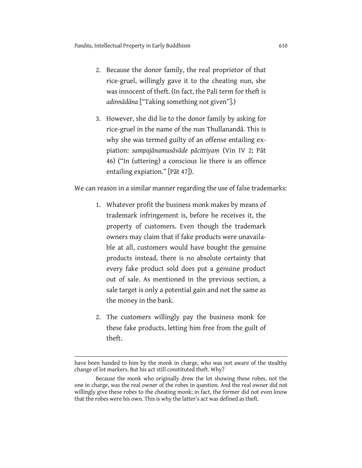- 2. Because the donor family, the real proprietor of that rice-gruel, willingly gave it to the cheating nun, she was innocent of theft. (In fact, the Pali term for theft is *adinnādāna* ["Taking something not given"].)
- 3. However, she did lie to the donor family by asking for rice-gruel in the name of the nun Thullanandā. This is why she was termed guilty of an offense entailing expiation: *sampajānamusāvāde pācittiyaṃ* (Vin IV 2; Pāt 46) ("In (uttering) a conscious lie there is an offence entailing expiation." [Pāt 47]).

We can reason in a similar manner regarding the use of false trademarks:

- <span id="page-15-0"></span>1. Whatever profit the business monk makes by means of trademark infringement is, before he receives it, the property of customers. Even though the trademark owners may claim that if fake products were unavailable at all, customers would have bought the genuine products instead, there is no absolute certainty that every fake product sold does put a genuine product out of sale. As mentioned in the previous section, a sale target is only a potential gain and not the same as the money in the bank.
- 2. The customers willingly pay the business monk for these fake products, letting him free from the guilt of theft.

 $\overline{\phantom{a}}$ 

have been handed to him by the monk in charge, who was not aware of the stealthy change of lot markers. But his act still constituted theft. Why?

Because the monk who originally drew the lot showing these robes, not the one in charge, was the real owner of the robes in question. And the real owner did not willingly give these robes to the cheating monk; in fact, the former did not even know that the robes were his own. This is why the latter's act was defined as theft.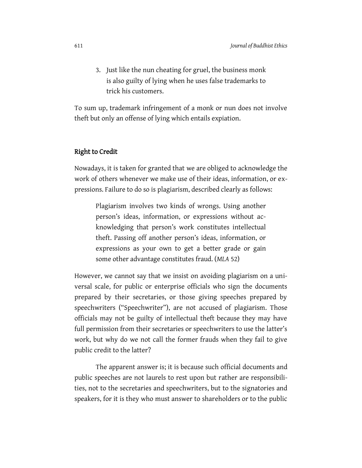3. Just like the nun cheating for gruel, the business monk is also guilty of lying when he uses false trademarks to trick his customers.

To sum up, trademark infringement of a monk or nun does not involve theft but only an offense of lying which entails expiation.

### Right to Credit

Nowadays, it is taken for granted that we are obliged to acknowledge the work of others whenever we make use of their ideas, information, or expressions. Failure to do so is plagiarism, described clearly as follows:

Plagiarism involves two kinds of wrongs. Using another person's ideas, information, or expressions without acknowledging that person's work constitutes intellectual theft. Passing off another person's ideas, information, or expressions as your own to get a better grade or gain some other advantage constitutes fraud. (*MLA* 52)

However, we cannot say that we insist on avoiding plagiarism on a universal scale, for public or enterprise officials who sign the documents prepared by their secretaries, or those giving speeches prepared by speechwriters ("Speechwriter"), are not accused of plagiarism. Those officials may not be guilty of intellectual theft because they may have full permission from their secretaries or speechwriters to use the latter's work, but why do we not call the former frauds when they fail to give public credit to the latter?

The apparent answer is; it is because such official documents and public speeches are not laurels to rest upon but rather are responsibilities, not to the secretaries and speechwriters, but to the signatories and speakers, for it is they who must answer to shareholders or to the public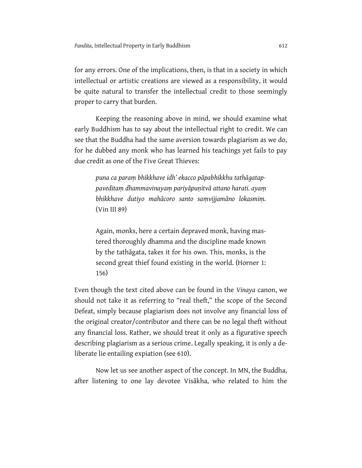for any errors. One of the implications, then, is that in a society in which intellectual or artistic creations are viewed as a responsibility, it would be quite natural to transfer the intellectual credit to those seemingly proper to carry that burden.

Keeping the reasoning above in mind, we should examine what early Buddhism has to say about the intellectual right to credit. We can see that the Buddha had the same aversion towards plagiarism as we do, for he dubbed any monk who has learned his teachings yet fails to pay due credit as one of the Five Great Thieves:

*puna ca paraṃ bhikkhave idh' ekacco pāpabhikkhu tathāgatappaveditaṃ dhammavinayaṃ pariyāpuṇitvā attano harati. ayaṃ bhikkhave dutiyo mahācoro santo saṃvijjamāno lokasmiṃ.* (Vin III 89)

Again, monks, here a certain depraved monk, having mastered thoroughly dhamma and the discipline made known by the tathāgata, takes it for his own. This, monks, is the second great thief found existing in the world. (Horner 1: 156)

Even though the text cited above can be found in the *Vinaya* canon, we should not take it as referring to "real theft," the scope of the Second Defeat, simply because plagiarism does not involve any financial loss of the original creator/contributor and there can be no legal theft without any financial loss. Rather, we should treat it only as a figurative speech describing plagiarism as a serious crime. Legally speaking, it is only a deliberate lie entailing expiation (se[e 610\)](#page-15-0).

Now let us see another aspect of the concept. In MN, the Buddha, after listening to one lay devotee Visākha, who related to him the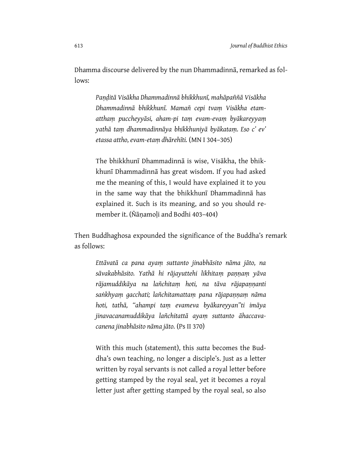Dhamma discourse delivered by the nun Dhammadinnā, remarked as follows:

> *Paṇḍitā Visākha Dhammadinnā bhikkhunī, mahāpaññā Visākha Dhammadinnā bhikkhunī. Mamañ cepi tvaṃ Visākha etamatthaṃ puccheyyāsi, aham-pi taṃ evam-evaṃ byākareyyaṃ yathā taṃ dhammadinnāya bhikkhuniyā byākataṃ. Eso c' ev' etassa attho, evam-etaṃ dhārehīti.* (MN I 304–305)

> The bhikkhunī Dhammadinnā is wise, Visākha, the bhikkhunī Dhammadinnā has great wisdom. If you had asked me the meaning of this, I would have explained it to you in the same way that the bhikkhunī Dhammadinnā has explained it. Such is its meaning, and so you should remember it. (Ñāṇamoḷi and Bodhi 403–404)

Then Buddhaghosa expounded the significance of the Buddha's remark as follows:

*Ettāvatā ca pana ayaṃ suttanto jinabhāsito nāma jāto, na sāvakabhāsito. Yathā hi rājayuttehi likhitaṃ paṇṇaṃ yāva rājamuddikāya na lañchitaṃ hoti, na tāva rājapaṇṇanti saṅkhyaṃ gacchati; lañchitamattaṃ pana rājapaṇṇaṃ nāma hoti, tathā, ''ahampi taṃ evameva byākareyyan"ti imāya jinavacanamuddikāya lañchitattā ayaṃ suttanto āhaccavacanena jinabhāsito nāma jāto.* (Ps II 370)

With this much (statement), this *sutta* becomes the Buddha's own teaching, no longer a disciple's. Just as a letter written by royal servants is not called a royal letter before getting stamped by the royal seal, yet it becomes a royal letter just after getting stamped by the royal seal, so also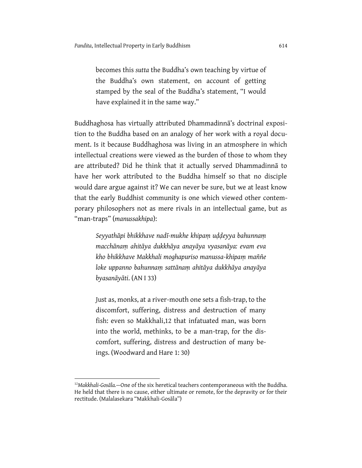becomes this *sutta* the Buddha's own teaching by virtue of the Buddha's own statement, on account of getting stamped by the seal of the Buddha's statement, "I would have explained it in the same way."

Buddhaghosa has virtually attributed Dhammadinnā's doctrinal exposition to the Buddha based on an analogy of her work with a royal document. Is it because Buddhaghosa was living in an atmosphere in which intellectual creations were viewed as the burden of those to whom they are attributed? Did he think that it actually served Dhammadinnā to have her work attributed to the Buddha himself so that no disciple would dare argue against it? We can never be sure, but we at least know that the early Buddhist community is one which viewed other contemporary philosophers not as mere rivals in an intellectual game, but as "man-traps" (*manussakhipa*):

*Seyyathāpi bhikkhave nadī-mukhe khipaṃ uḍḍeyya bahunnaṃ macchānaṃ ahitāya dukkhāya anayāya vyasanāya: evam eva kho bhikkhave Makkhali moghapuriso manussa-khipaṃ maññe loke uppanno bahunnaṃ sattānaṃ ahitāya dukkhāya anayāya byasanāyāti*. (AN I 33)

Just as, monks, at a river-mouth one sets a fish-trap, to the discomfort, suffering, distress and destruction of many fish: even so Makkhali,12 that infatuated man, was born into the world, methinks, to be a man-trap, for the discomfort, suffering, distress and destruction of many beings. (Woodward and Hare 1: 30)

 $\overline{a}$ 

<sup>12</sup>*Makkhali-Gosāla.*—One of the six heretical teachers contemporaneous with the Buddha. He held that there is no cause, either ultimate or remote, for the depravity or for their rectitude. (Malalasekara "Makkhali-Gosāla")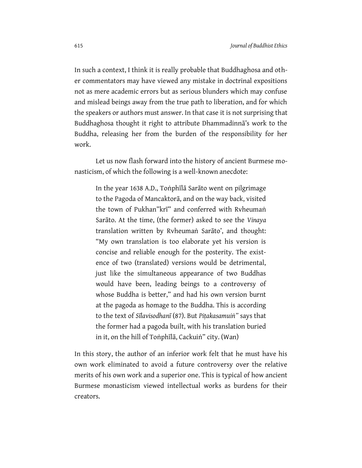In such a context, I think it is really probable that Buddhaghosa and other commentators may have viewed any mistake in doctrinal expositions not as mere academic errors but as serious blunders which may confuse and mislead beings away from the true path to liberation, and for which the speakers or authors must answer. In that case it is not surprising that Buddhaghosa thought it right to attribute Dhammadinnā's work to the Buddha, releasing her from the burden of the responsibility for her work.

Let us now flash forward into the history of ancient Burmese monasticism, of which the following is a well-known anecdote:

In the year 1638 A.D., Toṅphīlā Sarāto went on pilgrimage to the Pagoda of Mancaktorā, and on the way back, visited the town of Pukhan"krī" and conferred with Rvheumaṅ Sarāto. At the time, (the former) asked to see the *Vinaya* translation written by Rvheumaṅ Sarāto', and thought: "My own translation is too elaborate yet his version is concise and reliable enough for the posterity. The existence of two (translated) versions would be detrimental, just like the simultaneous appearance of two Buddhas would have been, leading beings to a controversy of whose Buddha is better," and had his own version burnt at the pagoda as homage to the Buddha. This is according to the text of *Sīlavisodhanī* (87). But *Piṭakasamuiṅ"* says that the former had a pagoda built, with his translation buried in it, on the hill of Toṅphīlā, Cackuiṅ" city. (Wan)

In this story, the author of an inferior work felt that he must have his own work eliminated to avoid a future controversy over the relative merits of his own work and a superior one. This is typical of how ancient Burmese monasticism viewed intellectual works as burdens for their creators.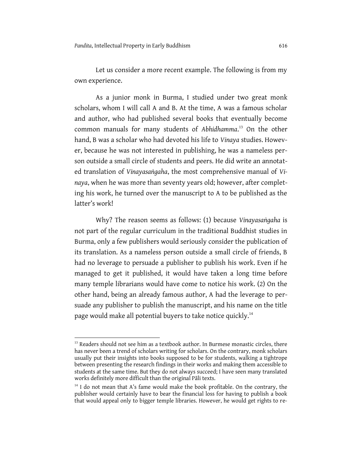Let us consider a more recent example. The following is from my own experience.

As a junior monk in Burma, I studied under two great monk scholars, whom I will call A and B. At the time, A was a famous scholar and author, who had published several books that eventually become common manuals for many students of *Abhidhamma*. <sup>13</sup> On the other hand, B was a scholar who had devoted his life to *Vinaya* studies. However, because he was not interested in publishing, he was a nameless person outside a small circle of students and peers. He did write an annotated translation of *Vinayasaṅgaha*, the most comprehensive manual of *Vinaya*, when he was more than seventy years old; however, after completing his work, he turned over the manuscript to A to be published as the latter's work!

Why? The reason seems as follows: (1) because *Vinayasaṅgaha* is not part of the regular curriculum in the traditional Buddhist studies in Burma, only a few publishers would seriously consider the publication of its translation. As a nameless person outside a small circle of friends, B had no leverage to persuade a publisher to publish his work. Even if he managed to get it published, it would have taken a long time before many temple librarians would have come to notice his work. (2) On the other hand, being an already famous author, A had the leverage to persuade any publisher to publish the manuscript, and his name on the title page would make all potential buyers to take notice quickly.<sup>14</sup>

 $\overline{a}$ 

<sup>&</sup>lt;sup>13</sup> Readers should not see him as a textbook author. In Burmese monastic circles, there has never been a trend of scholars writing for scholars. On the contrary, monk scholars usually put their insights into books supposed to be for students, walking a tightrope between presenting the research findings in their works and making them accessible to students at the same time. But they do not always succeed; I have seen many translated works definitely more difficult than the original Pāli texts.

 $14$  I do not mean that A's fame would make the book profitable. On the contrary, the publisher would certainly have to bear the financial loss for having to publish a book that would appeal only to bigger temple libraries. However, he would get rights to re-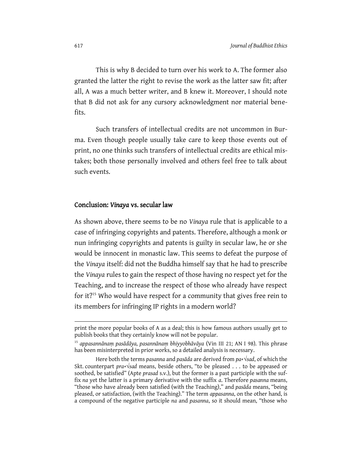This is why B decided to turn over his work to A. The former also granted the latter the right to revise the work as the latter saw fit; after all, A was a much better writer, and B knew it. Moreover, I should note that B did not ask for any cursory acknowledgment nor material benefits.

Such transfers of intellectual credits are not uncommon in Burma. Even though people usually take care to keep those events out of print, no one thinks such transfers of intellectual credits are ethical mistakes; both those personally involved and others feel free to talk about such events.

#### Conclusion: *Vinaya* vs. secular law

As shown above, there seems to be no *Vinaya* rule that is applicable to a case of infringing copyrights and patents. Therefore, although a monk or nun infringing copyrights and patents is guilty in secular law, he or she would be innocent in monastic law. This seems to defeat the purpose of the *Vinaya* itself: did not the Buddha himself say that he had to prescribe the *Vinaya* rules to gain the respect of those having no respect yet for the Teaching, and to increase the respect of those who already have respect for it?<sup>15</sup> Who would have respect for a community that gives free rein to its members for infringing IP rights in a modern world?

 $\overline{a}$ 

print the more popular books of A as a deal; this is how famous authors usually get to publish books that they certainly know will not be popular.

<sup>15</sup> *appasannānaṃ pasādāya, pasannānaṃ bhiyyobhāvāya* (Vin III 21; AN I 98). This phrase has been misinterpreted in prior works, so a detailed analysis is necessary.

Here both the terms *pasanna* and *pasāda* are derived from *pa+*√*sad*, of which the Skt. counterpart *pra+*√*sad* means, beside others, "to be pleased . . . to be appeased or soothed, be satisfied" (Apte *prasad* s.v.), but the former is a past participle with the suffix *na* yet the latter is a primary derivative with the suffix *a*. Therefore *pasanna* means, "those who have already been satisfied (with the Teaching)," and *pasāda* means, "being pleased, or satisfaction, (with the Teaching)." The term *appasanna*, on the other hand, is a compound of the negative participle *na* and *pasanna*, so it should mean, "those who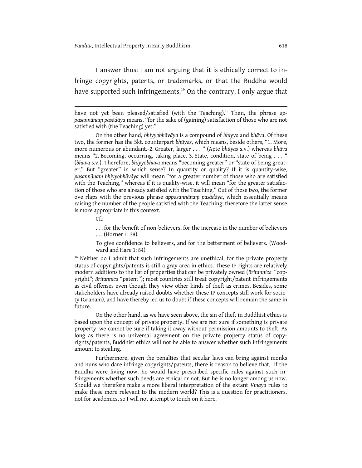I answer thus: I am not arguing that it is ethically correct to infringe copyrights, patents, or trademarks, or that the Buddha would have supported such infringements.<sup>16</sup> On the contrary, I only argue that

On the other hand, *bhiyyobhāvāya* is a compound of *bhiyyo* and *bhāva*. Of these two, the former has the Skt. counterpart *bhūyas*, which means, beside others, "1. More, more numerous or abundant.-2. Greater, larger . . . " (Apte *bhūyas* s.v.) whereas *bhāva* means "2. Becoming, occurring, taking place.-3. State, condition, state of being . . . " (*bhāva* s.v.). Therefore, *bhiyyobhāva* means "becoming greater" or "state of being greater." But "greater" in which sense? In quantity or quality? If it is quantity-wise, *pasannānaṃ bhiyyobhāvāya* will mean "for a greater number of those who are satisfied with the Teaching," whereas if it is quality-wise, it will mean "for the greater satisfaction of those who are already satisfied with the Teaching." Out of those two, the former ove rlaps with the previous phrase *appasannānaṃ pasādāya*, which essentially means raising the number of the people satisfied with the Teaching; therefore the latter sense is more appropriate in this context.

 $Cf$ :

 $\overline{a}$ 

. . . for the benefit of non-believers, for the increase in the number of believers . . . (Horner 1: 38)

To give confidence to believers, and for the betterment of believers. (Woodward and Hare 1: 84)

 $16$  Neither do I admit that such infringements are unethical, for the private property status of copyrights/patents is still a gray area in ethics. These IP rights are relatively modern additions to the list of properties that can be privately owned (*Britannica* "copyright"; *Britannica* "patent"); most countries still treat copyright/patent infringements as civil offenses even though they view other kinds of theft as crimes. Besides, some stakeholders have already raised doubts whether these IP concepts still work for society (Graham), and have thereby led us to doubt if these concepts will remain the same in future.

On the other hand, as we have seen above, the sin of theft in Buddhist ethics is based upon the concept of private property. If we are not sure if something is private property, we cannot be sure if taking it away without permission amounts to theft. As long as there is no universal agreement on the private property status of copyrights/patents, Buddhist ethics will not be able to answer whether such infringements amount to stealing.

Furthermore, given the penalties that secular laws can bring against monks and nuns who dare infringe copyrights/patents, there is reason to believe that, if the Buddha were living now, he would have prescribed specific rules against such infringements whether such deeds are ethical or not. But he is no longer among us now. Should we therefore make a more liberal interpretation of the extant *Vinaya* rules to make these more relevant to the modern world? This is a question for practitioners, not for academics, so I will not attempt to touch on it here.

have not yet been pleased/satisfied (with the Teaching)." Then, the phrase *appasannānaṃ pasādāya* means, "for the sake of (gaining) satisfaction of those who are not satisfied with (the Teaching) yet."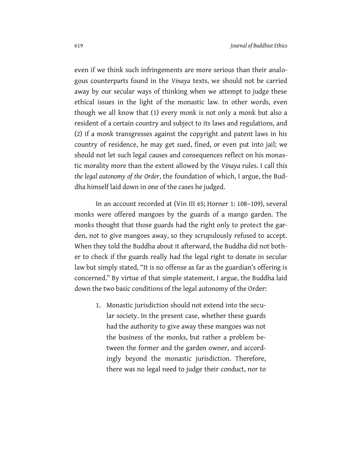even if we think such infringements are more serious than their analogous counterparts found in the *Vinaya* texts, we should not be carried away by our secular ways of thinking when we attempt to judge these ethical issues in the light of the monastic law. In other words, even though we all know that (1) every monk is not only a monk but also a resident of a certain country and subject to its laws and regulations, and (2) if a monk transgresses against the copyright and patent laws in his country of residence, he may get sued, fined, or even put into jail; we should not let such legal causes and consequences reflect on his monastic morality more than the extent allowed by the *Vinaya* rules. I call this *the legal autonomy of the Order*, the foundation of which, I argue, the Buddha himself laid down in one of the cases he judged.

In an account recorded at (Vin III 65; Horner 1: 108–109), several monks were offered mangoes by the guards of a mango garden. The monks thought that those guards had the right only to protect the garden, not to give mangoes away, so they scrupulously refused to accept. When they told the Buddha about it afterward, the Buddha did not bother to check if the guards really had the legal right to donate in secular law but simply stated, "It is no offense as far as the guardian's offering is concerned." By virtue of that simple statement, I argue, the Buddha laid down the two basic conditions of the legal autonomy of the Order:

1. Monastic jurisdiction should not extend into the secular society. In the present case, whether these guards had the authority to give away these mangoes was not the business of the monks, but rather a problem between the former and the garden owner, and accordingly beyond the monastic jurisdiction. Therefore, there was no legal need to judge their conduct, nor to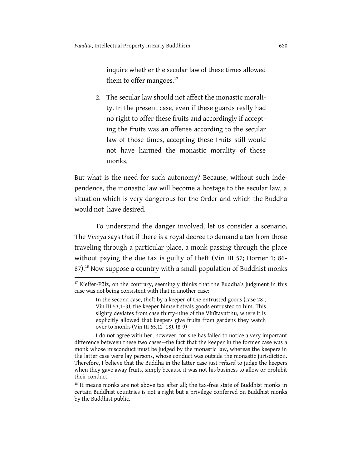$\overline{a}$ 

inquire whether the secular law of these times allowed them to offer mangoes.<sup>17</sup>

2. The secular law should not affect the monastic morality. In the present case, even if these guards really had no right to offer these fruits and accordingly if accepting the fruits was an offense according to the secular law of those times, accepting these fruits still would not have harmed the monastic morality of those monks.

But what is the need for such autonomy? Because, without such independence, the monastic law will become a hostage to the secular law, a situation which is very dangerous for the Order and which the Buddha would not have desired.

To understand the danger involved, let us consider a scenario. The *Vinaya* says that if there is a royal decree to demand a tax from those traveling through a particular place, a monk passing through the place without paying the due tax is guilty of theft (Vin III 52; Horner 1: 86- 87).<sup>18</sup> Now suppose a country with a small population of Buddhist monks

<sup>&</sup>lt;sup>17</sup> Kieffer-Pülz, on the contrary, seemingly thinks that the Buddha's judgment in this case was not being consistent with that in another case:

In the second case, theft by a keeper of the entrusted goods (case 28 ; Vin III 53,1–3), the keeper himself steals goods entrusted to him. This slighty deviates from case thirty-nine of the Vinītavatthu, where it is explicitly allowed that keepers give fruits from gardens they watch over to monks (Vin III 65,12–18). (8-9)

I do not agree with her, however, for she has failed to notice a very important difference between these two cases—the fact that the keeper in the former case was a monk whose misconduct must be judged by the monastic law, whereas the keepers in the latter case were lay persons, whose conduct was outside the monastic jurisdiction. Therefore, I believe that the Buddha in the latter case just *refused* to judge the keepers when they gave away fruits, simply because it was not his business to allow or prohibit their conduct.

<sup>&</sup>lt;sup>18</sup> It means monks are not above tax after all; the tax-free state of Buddhist monks in certain Buddhist countries is not a right but a privilege conferred on Buddhist monks by the Buddhist public.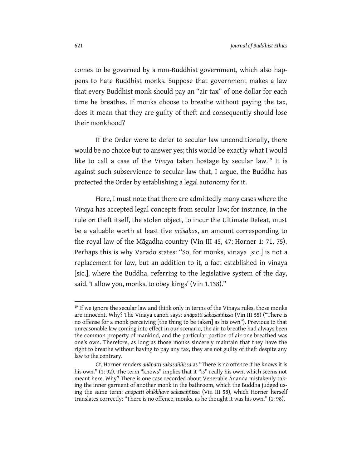comes to be governed by a non-Buddhist government, which also happens to hate Buddhist monks. Suppose that government makes a law that every Buddhist monk should pay an "air tax" of one dollar for each time he breathes. If monks choose to breathe without paying the tax, does it mean that they are guilty of theft and consequently should lose their monkhood?

If the Order were to defer to secular law unconditionally, there would be no choice but to answer yes; this would be exactly what I would like to call a case of the *Vinaya* taken hostage by secular law.<sup>19</sup> It is against such subservience to secular law that, I argue, the Buddha has protected the Order by establishing a legal autonomy for it.

Here, I must note that there are admittedly many cases where the *Vinaya* has accepted legal concepts from secular law; for instance, in the rule on theft itself, the stolen object, to incur the Ultimate Defeat, must be a valuable worth at least five *māsaka*s, an amount corresponding to the royal law of the Māgadha country (Vin III 45, 47; Horner 1: 71, 75). Perhaps this is why Varado states: "So, for monks, vinaya [sic.] is not a replacement for law, but an addition to it, a fact established in vinaya [sic.], where the Buddha, referring to the legislative system of the day, said, 'I allow you, monks, to obey kings' (Vin 1.138)."

 $\overline{a}$ 

<sup>&</sup>lt;sup>19</sup> If we ignore the secular law and think only in terms of the Vinaya rules, those monks are innocent. Why? The Vinaya canon says: *anāpatti sakasaññissa* (Vin III 55) ("There is no offense for a monk perceiving [the thing to be taken] as his own"). Previous to that unreasonable law coming into effect in our scenario, the air to breathe had always been the common property of mankind, and the particular portion of air one breathed was one's own. Therefore, as long as those monks sincerely maintain that they have the right to breathe without having to pay any tax, they are not guilty of theft despite any law to the contrary.

Cf. Horner renders *anāpatti sakasaññissa* as "There is no offence if he knows it is his own." (1: 92). The term "knows" implies that it "is" really his own, which seems not meant here. Why? There is one case recorded about Venerable Ānanda mistakenly taking the inner garment of another monk in the bathroom, which the Buddha judged using the same term: *anāpatti bhikkhave sakasaññissa* (Vin III 58), which Horner herself translates correctly: "There is no offence, monks, as he thought it was his own." (1: 98).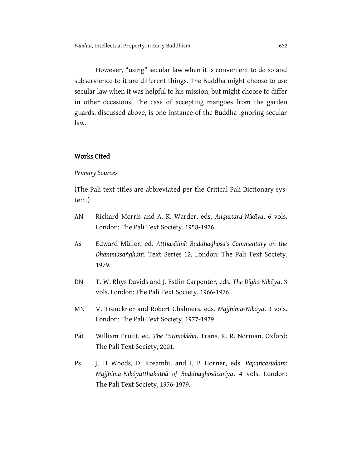However, "using" secular law when it is convenient to do so and subservience to it are different things. The Buddha might choose to use secular law when it was helpful to his mission, but might choose to differ in other occasions. The case of accepting mangoes from the garden guards, discussed above, is one instance of the Buddha ignoring secular law.

# Works Cited

#### *Primary Sources*

(The Pali text titles are abbreviated per the Critical Pali Dictionary system.)

- AN Richard Morris and A. K. Warder, eds. *Aṅguttara-Nikāya*. 6 vols. London: The Pali Text Society, 1958-1976.
- As Edward Müller, ed. *Aṭṭhasālinī: Buddhaghosa's Commentary on the Dhammasaṅghanī*. Text Series 12. London: The Pali Text Society, 1979.
- DN T. W. Rhys Davids and J. Estlin Carpenter, eds. *The Dīgha Nikāya*. 3 vols. London: The Pali Text Society, 1966-1976.
- MN V. Trenckner and Robert Chalmers, eds. *Majjhima-Nikāya*. 3 vols. London: The Pali Text Society, 1977-1979.
- Pāt William Pruitt, ed. *The Pātimokkha*. Trans. K. R. Norman. Oxford: The Pali Text Society, 2001.
- Ps J. H Woods, D. Kosambi, and I. B Horner, eds. *Papañcasūdanī: Majjhima-Nikāyaṭṭhakathā of Buddhaghosācariya*. 4 vols. London: The Pali Text Society, 1976-1979.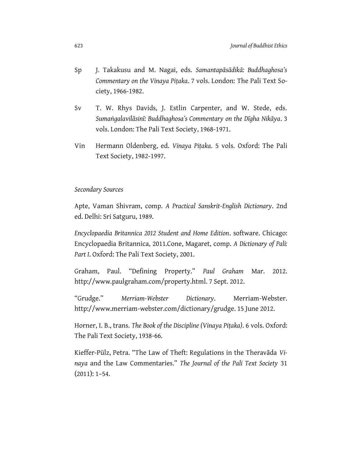- Sp J. Takakusu and M. Nagai, eds. *Samantapāsādikā: Buddhaghosa's Commentary on the Vinaya Piṭaka*. 7 vols. London: The Pali Text Society, 1966-1982.
- Sv T. W. Rhys Davids, J. Estlin Carpenter, and W. Stede, eds. *Sumaṅgalavilāsinī: Buddhaghosa's Commentary on the Dīgha Nikāya*. 3 vols. London: The Pali Text Society, 1968-1971.
- Vin Hermann Oldenberg, ed. *Vinaya Piṭaka*. 5 vols. Oxford: The Pali Text Society, 1982-1997.

#### *Secondary Sources*

Apte, Vaman Shivram, comp. *A Practical Sanskrit-English Dictionary*. 2nd ed. Delhi: Sri Satguru, 1989.

*Encyclopaedia Britannica 2012 Student and Home Edition*. software. Chicago: Encyclopaedia Britannica, 2011.Cone, Magaret, comp. *A Dictionary of Pali: Part I*. Oxford: The Pali Text Society, 2001.

Graham, Paul. "Defining Property." *Paul Graham* Mar. 2012. http://www.paulgraham.com/property.html. 7 Sept. 2012.

"Grudge." *Merriam-Webster Dictionary*. Merriam-Webster. http://www.merriam-webster.com/dictionary/grudge. 15 June 2012.

Horner, I. B., trans. *The Book of the Discipline (Vinaya Piṭaka)*. 6 vols. Oxford: The Pali Text Society, 1938-66.

Kieffer-Pülz, Petra. "The Law of Theft: Regulations in the Theravāda *Vinaya* and the Law Commentaries." *The Journal of the Pali Text Society* 31 (2011): 1–54.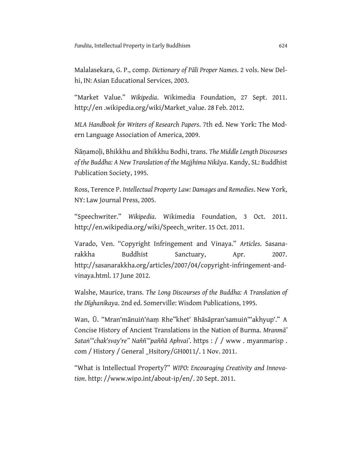Malalasekara, G. P., comp. *Dictionary of Pāli Proper Names*. 2 vols. New Delhi, IN: Asian Educational Services, 2003.

"Market Value." *Wikipedia*. Wikimedia Foundation, 27 Sept. 2011. http://en .wikipedia.org/wiki/Market\_value. 28 Feb. 2012.

*MLA Handbook for Writers of Research Papers*. 7th ed. New York: The Modern Language Association of America, 2009.

Ñāṇamoḷi, Bhikkhu and Bhikkhu Bodhi, trans. *The Middle Length Discourses of the Buddha: A New Translation of the Majjhima Nikāya*. Kandy, SL: Buddhist Publication Society, 1995.

Ross, Terence P. *Intellectual Property Law: Damages and Remedies*. New York, NY: Law Journal Press, 2005.

"Speechwriter." *Wikipedia*. Wikimedia Foundation, 3 Oct. 2011. http://en.wikipedia.org/wiki/Speech\_writer. 15 Oct. 2011.

Varado, Ven. "Copyright Infringement and Vinaya." *Articles*. Sasanarakkha Buddhist Sanctuary, Apr. 2007. http://sasanarakkha.org/articles/2007/04/copyright-infringement-andvinaya.html. 17 June 2012.

Walshe, Maurice, trans. *The Long Discourses of the Buddha: A Translation of the Dīghanikaya*. 2nd ed. Somerville: Wisdom Publications, 1995.

Wan, Ū. "Mran'mānuiṅ'ṅaṃ Rhe"khet' Bhāsāpran'samuiṅ'"akhyup'." A Concise History of Ancient Translations in the Nation of Burma. *Mranmā' Sataṅ'"chak'svay're" Naññ'"paññā Aphvai'*. https : / / www . myanmarisp . com / History / General \_Hsitory/GH0011/. 1 Nov. 2011.

"What is Intellectual Property?" *WIPO: Encouraging Creativity and Innovation*. http: //www.wipo.int/about-ip/en/. 20 Sept. 2011.